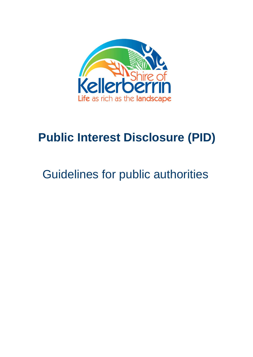

# **Public Interest Disclosure (PID)**

# Guidelines for public authorities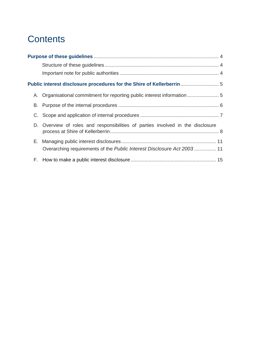## **Contents**

|    | Public interest disclosure procedures for the Shire of Kellerberrin 5           |  |
|----|---------------------------------------------------------------------------------|--|
|    |                                                                                 |  |
|    |                                                                                 |  |
|    |                                                                                 |  |
|    | D. Overview of roles and responsibilities of parties involved in the disclosure |  |
|    | Overarching requirements of the Public Interest Disclosure Act 2003 11          |  |
| F. |                                                                                 |  |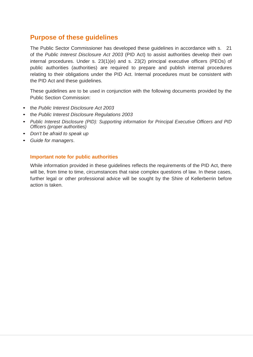## <span id="page-3-0"></span>**Purpose of these guidelines**

The Public Sector Commissioner has developed these guidelines in accordance with s. 21 of the *Public Interest Disclosure Act 2003* (PID Act) to assist authorities develop their own internal procedures. Under s. 23(1)(e) and s. 23(2) principal executive officers (PEOs) of public authorities (authorities) are required to prepare and publish internal procedures relating to their obligations under the PID Act. Internal procedures must be consistent with the PID Act and these guidelines.

These guidelines are to be used in conjunction with the following documents provided by the Public Section Commission:

- the *Public Interest Disclosure Act 2003*
- the *Public Interest Disclosure Regulations 2003*
- *Public Interest Disclosure (PID): Supporting information for Principal Executive Officers and PID Officers (proper authorities)*
- *Don't be afraid to speak up*
- *Guide for managers*.

#### <span id="page-3-1"></span>**Important note for public authorities**

While information provided in these guidelines reflects the requirements of the PID Act, there will be, from time to time, circumstances that raise complex questions of law. In these cases, further legal or other professional advice will be sought by the Shire of Kellerberrin before action is taken.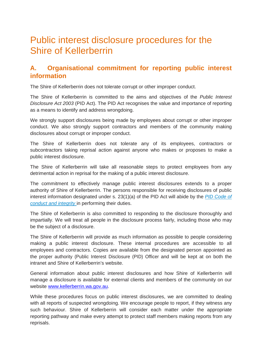## <span id="page-4-0"></span>Public interest disclosure procedures for the Shire of Kellerberrin

## <span id="page-4-1"></span>**A. Organisational commitment for reporting public interest information**

The Shire of Kellerberrin does not tolerate corrupt or other improper conduct.

The Shire of Kellerberrin is committed to the aims and objectives of the *Public Interest Disclosure Act 2003* (PID Act). The PID Act recognises the value and importance of reporting as a means to identify and address wrongdoing.

We strongly support disclosures being made by employees about corrupt or other improper conduct. We also strongly support contractors and members of the community making disclosures about corrupt or improper conduct.

The Shire of Kellerberrin does not tolerate any of its employees, contractors or subcontractors taking reprisal action against anyone who makes or proposes to make a public interest disclosure.

The Shire of Kellerberrin will take all reasonable steps to protect employees from any detrimental action in reprisal for the making of a public interest disclosure.

The commitment to effectively manage public interest disclosures extends to a proper authority of Shire of Kellerberrin. The persons responsible for receiving disclosures of public interest information designated under s. 23(1)(a) of the PID Act will abide by the *PID Code of conduct and integrity* in performing their duties.

The Shire of Kellerberrin is also committed to responding to the disclosure thoroughly and impartially. We will treat all people in the disclosure process fairly, including those who may be the subject of a disclosure.

The Shire of Kellerberrin will provide as much information as possible to people considering making a public interest disclosure. These internal procedures are accessible to all employees and contractors. Copies are available from the designated person appointed as the proper authority (Public Interest Disclosure (PID) Officer and will be kept at on both the intranet and Shire of Kellerberrin's website.

General information about public interest disclosures and how Shire of Kellerberrin will manage a disclosure is available for external clients and members of the community on our website [www.kellerberrin.wa.gov.au.](http://www.kellerberrin.wa.gov.au/)

While these procedures focus on public interest disclosures, we are committed to dealing with all reports of suspected wrongdoing. We encourage people to report, if they witness any such behaviour. Shire of Kellerberrin will consider each matter under the appropriate reporting pathway and make every attempt to protect staff members making reports from any reprisals.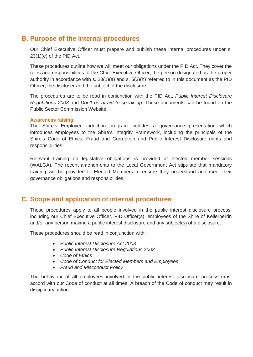## <span id="page-5-0"></span>**B. Purpose of the internal procedures**

Our Chief Executive Officer must prepare and publish these internal procedures under s. 23(1)(e) of the PID Act.

These procedures outline how we will meet our obligations under the PID Act. They cover the roles and responsibilities of the Chief Executive Officer, the person designated as the proper authority in accordance with s. 23(1)(a) and s. 5(3)(h) referred to in this document as the PID Officer, the discloser and the subject of the disclosure.

The procedures are to be read in conjunction with the PID Act, *Public Interest Disclosure Regulations 2003* and *Don't be afraid to speak up*. These documents can be found on the Public Sector Commission Website.

#### **Awareness raising**

The Shire's Employee induction program includes a governance presentation which introduces employees to the Shire's Integrity Framework, including the principals of the Shire's Code of Ethics, Fraud and Corruption and Public Interest Disclosure rights and responsibilities.

Relevant training on legislative obligations is provided at elected member sessions (WALGA). The recent amendments to the Local Government Act stipulate that mandatory training will be provided to Elected Members to ensure they understand and meet their governance obligations and responsibilities.

## <span id="page-5-1"></span>**C. Scope and application of internal procedures**

These procedures apply to all people involved in the public interest disclosure process, including our Chief Executive Officer, PID Officer(s), employees of the Shire of Kellerberrin and/or any person making a public interest disclosure and any subject(s) of a disclosure.

These procedures should be read in conjunction with:

- *Public Interest Disclosure Act 2003*
- *Public Interest Disclosure Regulations 2003*
- *Code of Ethics*
- *Code of Conduct for Elected Members and Employees*
- *Fraud and Misconduct Policy*

The behaviour of all employees involved in the public interest disclosure process must accord with our Code of conduct at all times. A breach of the Code of conduct may result in disciplinary action.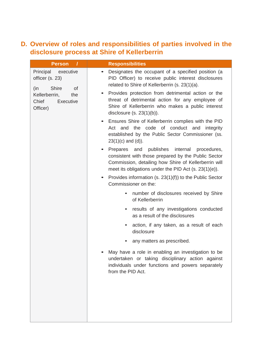## <span id="page-7-0"></span>**D. Overview of roles and responsibilities of parties involved in the disclosure process at Shire of Kellerberrin**

| <b>Person</b>                                                                  | <b>Responsibilities</b>                                                                                                                                                                                                            |
|--------------------------------------------------------------------------------|------------------------------------------------------------------------------------------------------------------------------------------------------------------------------------------------------------------------------------|
| Principal<br>executive<br>officer (s. 23)<br><b>Shire</b><br>(in)<br><b>of</b> | Designates the occupant of a specified position (a<br>PID Officer) to receive public interest disclosures<br>related to Shire of Kellerberrin (s. 23(1)(a).                                                                        |
| Kellerberrin,<br>the<br>Chief<br>Executive<br>Officer)                         | Provides protection from detrimental action or the<br>$\bullet$<br>threat of detrimental action for any employee of<br>Shire of Kellerberrin who makes a public interest<br>disclosure $(s. 23(1)(b))$ .                           |
|                                                                                | Ensures Shire of Kellerberrin complies with the PID<br>Act and the code of conduct and integrity<br>established by the Public Sector Commissioner (ss.<br>$23(1)(c)$ and $(d)$ ).                                                  |
|                                                                                | and<br>publishes<br>internal<br>Prepares<br>procedures,<br>consistent with those prepared by the Public Sector<br>Commission, detailing how Shire of Kellerberrin will<br>meet its obligations under the PID Act $(s. 23(1)(e))$ . |
|                                                                                | Provides information (s. 23(1)(f)) to the Public Sector<br>Commissioner on the:                                                                                                                                                    |
|                                                                                | number of disclosures received by Shire<br>$\bullet$<br>of Kellerberrin                                                                                                                                                            |
|                                                                                | results of any investigations conducted<br>٠<br>as a result of the disclosures                                                                                                                                                     |
|                                                                                | action, if any taken, as a result of each<br>disclosure                                                                                                                                                                            |
|                                                                                | any matters as prescribed.                                                                                                                                                                                                         |
|                                                                                | May have a role in enabling an investigation to be<br>undertaken or taking disciplinary action against<br>individuals under functions and powers separately<br>from the PID Act.                                                   |
|                                                                                |                                                                                                                                                                                                                                    |
|                                                                                |                                                                                                                                                                                                                                    |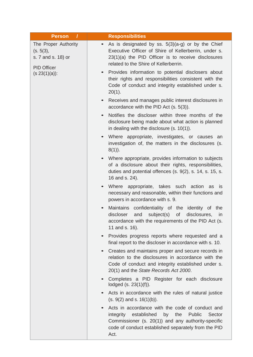| $\prime$<br><b>Person</b>                                                     | <b>Responsibilities</b>                                                                                                                                                                                                           |
|-------------------------------------------------------------------------------|-----------------------------------------------------------------------------------------------------------------------------------------------------------------------------------------------------------------------------------|
| The Proper Authority<br>(s. 5(3),<br>s. 7 and s. 18) or<br><b>PID Officer</b> | As is designated by ss. $5(3)(a-g)$ or by the Chief<br>$\bullet$<br>Executive Officer of Shire of Kellerberrin, under s.<br>23(1)(a) the PID Officer is to receive disclosures<br>related to the Shire of Kellerberrin.           |
| $(s 23(1)(a))$ :                                                              | Provides information to potential disclosers about<br>$\bullet$<br>their rights and responsibilities consistent with the<br>Code of conduct and integrity established under s.<br>$20(1)$ .                                       |
|                                                                               | Receives and manages public interest disclosures in<br>$\bullet$<br>accordance with the PID Act (s. 5(3)).                                                                                                                        |
|                                                                               | Notifies the discloser within three months of the<br>$\bullet$<br>disclosure being made about what action is planned<br>in dealing with the disclosure $(s. 10(1))$ .                                                             |
|                                                                               | Where appropriate, investigates, or causes an<br>$\bullet$<br>investigation of, the matters in the disclosures (s.<br>$8(1)$ ).                                                                                                   |
|                                                                               | Where appropriate, provides information to subjects<br>$\bullet$<br>of a disclosure about their rights, responsibilities,<br>duties and potential offences (s. 9(2), s. 14, s. 15, s.<br>16 and s. 24).                           |
|                                                                               | Where appropriate, takes such action as<br>is<br>$\bullet$<br>necessary and reasonable, within their functions and<br>powers in accordance with s. 9.                                                                             |
|                                                                               | Maintains confidentiality of the identity of the<br>$\bullet$<br>subject(s)<br>of<br>discloser<br>and<br>disclosures,<br>in<br>accordance with the requirements of the PID Act (s.<br>11 and s. 16).                              |
|                                                                               | Provides progress reports where requested and a<br>$\bullet$<br>final report to the discloser in accordance with s. 10.                                                                                                           |
|                                                                               | Creates and maintains proper and secure records in<br>$\bullet$<br>relation to the disclosures in accordance with the<br>Code of conduct and integrity established under s.<br>20(1) and the State Records Act 2000.              |
|                                                                               | Completes a PID Register for each disclosure<br>$\bullet$<br>lodged (s. 23(1)(f)).                                                                                                                                                |
|                                                                               | Acts in accordance with the rules of natural justice<br>$\bullet$<br>$(s. 9(2)$ and s. $16(1)(b)$ .                                                                                                                               |
|                                                                               | Acts in accordance with the code of conduct and<br>integrity<br>established<br>by<br>the<br>Public<br>Sector<br>Commissioner (s. 20(1)) and any authority-specific<br>code of conduct established separately from the PID<br>Act. |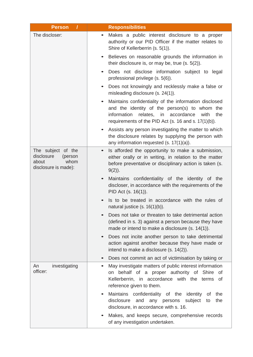| <b>Person</b>                                                                        | <b>Responsibilities</b>                                                                                                                                                                                                                    |
|--------------------------------------------------------------------------------------|--------------------------------------------------------------------------------------------------------------------------------------------------------------------------------------------------------------------------------------------|
| The discloser:                                                                       | Makes a public interest disclosure to a proper<br>$\bullet$<br>authority or our PID Officer if the matter relates to<br>Shire of Kellerberrin (s. 5(1)).                                                                                   |
|                                                                                      | Believes on reasonable grounds the information in<br>$\bullet$<br>their disclosure is, or may be, true $(s. 5(2))$ .                                                                                                                       |
|                                                                                      | Does not disclose information subject to legal<br>professional privilege (s. 5(6)).                                                                                                                                                        |
|                                                                                      | Does not knowingly and recklessly make a false or<br>$\bullet$<br>misleading disclosure (s. 24(1)).                                                                                                                                        |
|                                                                                      | Maintains confidentiality of the information disclosed<br>$\bullet$<br>and the identity of the person(s) to whom the<br>relates, in<br>accordance<br>information<br>with<br>the<br>requirements of the PID Act (s. 16 and s. $17(1)(b)$ ). |
|                                                                                      | Assists any person investigating the matter to which<br>the disclosure relates by supplying the person with<br>any information requested $(s. 17(1)(a))$ .                                                                                 |
| The subject of the<br>disclosure<br>(person<br>whom<br>about<br>disclosure is made): | Is afforded the opportunity to make a submission,<br>$\bullet$<br>either orally or in writing, in relation to the matter<br>before preventative or disciplinary action is taken (s.<br>$9(2)$ ).                                           |
|                                                                                      | Maintains confidentiality of the identity of the<br>$\bullet$<br>discloser, in accordance with the requirements of the<br>PID Act (s. 16(1)).                                                                                              |
|                                                                                      | Is to be treated in accordance with the rules of<br>$\bullet$<br>natural justice $(s. 16(1)(b))$ .                                                                                                                                         |
|                                                                                      | Does not take or threaten to take detrimental action<br>(defined in s. 3) against a person because they have<br>made or intend to make a disclosure $(s. 14(1))$ .                                                                         |
|                                                                                      | Does not incite another person to take detrimental<br>$\bullet$<br>action against another because they have made or<br>intend to make a disclosure (s. 14(2)).                                                                             |
|                                                                                      | Does not commit an act of victimisation by taking or<br>$\bullet$                                                                                                                                                                          |
| An<br>investigating<br>officer:                                                      | May investigate matters of public interest information<br>$\bullet$<br>behalf of a proper authority of Shire of<br>on<br>Kellerberrin, in accordance with the terms of<br>reference given to them.                                         |
|                                                                                      | Maintains confidentiality of the identity of<br>the<br>$\bullet$<br>disclosure<br>and<br>any persons<br>subject<br>the<br>to<br>disclosure, in accordance with s. 16.                                                                      |
|                                                                                      | Makes, and keeps secure, comprehensive records<br>$\bullet$<br>of any investigation undertaken.                                                                                                                                            |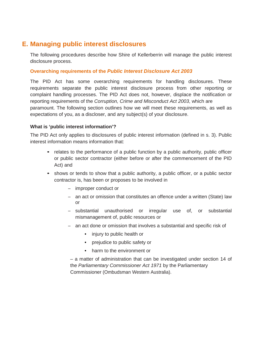## <span id="page-10-0"></span>**E. Managing public interest disclosures**

The following procedures describe how Shire of Kellerberrin will manage the public interest disclosure process.

#### **Overarching requirements of the** *Public Interest Disclosure Act 2003*

The PID Act has some overarching requirements for handling disclosures. These requirements separate the public interest disclosure process from other reporting or complaint handling processes. The PID Act does not, however, displace the notification or reporting requirements of the *Corruption, Crime and Misconduct Act 2003*, which are paramount. The following section outlines how we will meet these requirements, as well as expectations of you, as a discloser, and any subject(s) of your disclosure.

#### **What is 'public interest information'?**

The PID Act only applies to disclosures of public interest information (defined in s. 3). Public interest information means information that:

- relates to the performance of a public function by a public authority, public officer or public sector contractor (either before or after the commencement of the PID Act) and
- shows or tends to show that a public authority, a public officer, or a public sector contractor is, has been or proposes to be involved in
	- improper conduct or
	- an act or omission that constitutes an offence under a written (State) law or
	- substantial unauthorised or irregular use of, or substantial mismanagement of, public resources or
	- an act done or omission that involves a substantial and specific risk of
		- injury to public health or
		- prejudice to public safety or
		- harm to the environment or

– a matter of administration that can be investigated under section 14 of the *Parliamentary Commissioner Act 1971* by the Parliamentary Commissioner (Ombudsman Western Australia).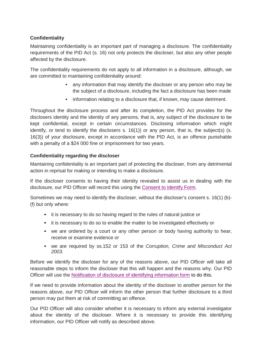#### **Confidentiality**

Maintaining confidentiality is an important part of managing a disclosure. The confidentiality requirements of the PID Act (s. 16) not only protects the discloser, but also any other people affected by the disclosure.

The confidentiality requirements do not apply to all information in a disclosure, although, we are committed to maintaining confidentiality around:

- any information that may identify the discloser or any person who may be the subject of a disclosure, including the fact a disclosure has been made
- information relating to a disclosure that, if known, may cause detriment.

Throughout the disclosure process and after its completion, the PID Act provides for the disclosers identity and the identity of any persons, that is, any subject of the disclosure to be kept confidential, except in certain circumstances. Disclosing information which might identify, or tend to identify the disclosers s. 16(1)) or any person, that is, the subject(s) (s. 16(3)) of your disclosure, except in accordance with the PID Act, is an offence punishable with a penalty of a \$24 000 fine or imprisonment for two years.

#### **Confidentiality regarding the discloser**

Maintaining confidentiality is an important part of protecting the discloser, from any detrimental action in reprisal for making or intending to make a disclosure.

If the discloser consents to having their identity revealed to assist us in dealing with the disclosure, our PID Officer will record this using the [Consent to Identify Form.](file://ksc-file/shiredata/Application%20Forms/Shire%20of%20Kellerberrin%20Consent%20to%20Identify%20Form.docx)

Sometimes we may need to identify the discloser, without the discloser's consent s. 16(1) (b)- (f) but only where:

- it is necessary to do so having regard to the rules of natural justice or
- it is necessary to do so to enable the matter to be investigated effectively or
- we are ordered by a court or any other person or body having authority to hear, receive or examine evidence or
- we are required by ss.152 or 153 of the *Corruption, Crime and Misconduct Act 2003.*

Before we identify the discloser for any of the reasons above, our PID Officer will take all reasonable steps to inform the discloser that this will happen and the reasons why. Our PID Officer will use the Notification of disclosure of identifying information form to do this.

If we need to provide information about the identity of the discloser to another person for the reasons above, our PID Officer will inform the other person that further disclosure to a third person may put them at risk of committing an offence.

Our PID Officer will also consider whether it is necessary to inform any external investigator about the identity of the discloser. Where it is necessary to provide this identifying information, our PID Officer will notify as described above.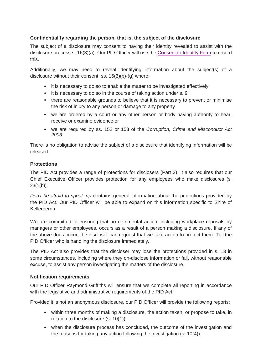#### **Confidentiality regarding the person, that is, the subject of the disclosure**

The subject of a disclosure may consent to having their identity revealed to assist with the disclosure process s. 16(3)(a). Our PID Officer will use the [Consent to Identify Form](file://ksc-file/shiredata/Application%20Forms/Shire%20of%20Kellerberrin%20Consent%20to%20Identify%20Form.docx) to record this.

Additionally, we may need to reveal identifying information about the subject(s) of a disclosure without their consent, ss. 16(3)(b)-(g) where:

- it is necessary to do so to enable the matter to be investigated effectively
- it is necessary to do so in the course of taking action under s. 9
- there are reasonable grounds to believe that it is necessary to prevent or minimise the risk of injury to any person or damage to any property
- we are ordered by a court or any other person or body having authority to hear, receive or examine evidence or
- we are required by ss. 152 or 153 of the *Corruption, Crime and Misconduct Act 2003*.

There is no obligation to advise the subject of a disclosure that identifying information will be released.

#### **Protections**

The PID Act provides a range of protections for disclosers (Part 3). It also requires that our Chief Executive Officer provides protection for any employees who make disclosures (s.  $23(1(b))$ .

*Don't be afraid to speak up* contains general information about the protections provided by the PID Act. Our PID Officer will be able to expand on this information specific to Shire of Kellerberrin.

We are committed to ensuring that no detrimental action, including workplace reprisals by managers or other employees, occurs as a result of a person making a disclosure. If any of the above does occur, the discloser can request that we take action to protect them. Tell the PID Officer who is handling the disclosure immediately.

The PID Act also provides that the discloser may lose the protections provided in s. 13 in some circumstances, including where they on-disclose information or fail, without reasonable excuse, to assist any person investigating the matters of the disclosure.

#### **Notification requirements**

Our PID Officer Raymond Griffiths will ensure that we complete all reporting in accordance with the legislative and administrative requirements of the PID Act.

Provided it is not an anonymous disclosure, our PID Officer will provide the following reports:

- within three months of making a disclosure, the action taken, or propose to take, in relation to the disclosure (s. 10(1))
- when the disclosure process has concluded, the outcome of the investigation and the reasons for taking any action following the investigation (s. 10(4)).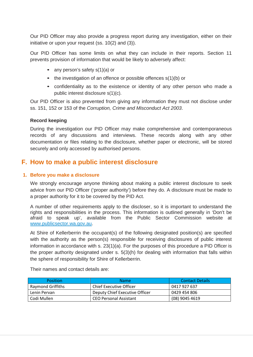Our PID Officer may also provide a progress report during any investigation, either on their initiative or upon your request (ss. 10(2) and (3)).

Our PID Officer has some limits on what they can include in their reports. Section 11 prevents provision of information that would be likely to adversely affect:

- any person's safety s(1)(a) or
- the investigation of an offence or possible offences  $s(1)(b)$  or
- confidentiality as to the existence or identity of any other person who made a public interest disclosure s(1)(c).

Our PID Officer is also prevented from giving any information they must not disclose under ss. 151, 152 or 153 of the *Corruption, Crime and Misconduct Act 2003*.

#### **Record keeping**

During the investigation our PID Officer may make comprehensive and contemporaneous records of any discussions and interviews. These records along with any other documentation or files relating to the disclosure, whether paper or electronic, will be stored securely and only accessed by authorised persons.

## <span id="page-13-0"></span>**F. How to make a public interest disclosure**

#### **1. Before you make a disclosure**

We strongly encourage anyone thinking about making a public interest disclosure to seek advice from our PID Officer ('proper authority') before they do. A disclosure must be made to a proper authority for it to be covered by the PID Act.

A number of other requirements apply to the discloser, so it is important to understand the rights and responsibilities in the process. This information is outlined generally in 'Don't be afraid to speak up', available from the Public Sector Commission website at www.publicsector.wa.gov.au.

At Shire of Kellerberrin the occupant(s) of the following designated position(s) are specified with the authority as the person(s) responsible for receiving disclosures of public interest information in accordance with s. 23(1)(a). For the purposes of this procedure a PID Officer is the proper authority designated under s. 5(3)(h) for dealing with information that falls within the sphere of responsibility for Shire of Kellerberrin.

Their names and contact details are:

| <b>Position</b>   | <b>Name</b>                    | Contact Details |
|-------------------|--------------------------------|-----------------|
| Raymond Griffiths | Chief Executive Officer        | 0417 927 637    |
| Lenin Pervan      | Deputy Chief Executive Officer | 0429 454 806    |
| Codi Mullen       | <b>CEO Personal Assistant</b>  | (08) 9045 4619  |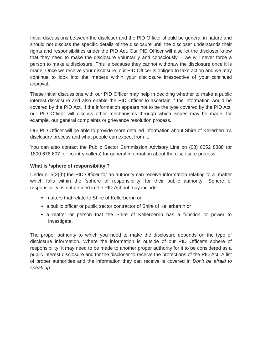Initial discussions between the discloser and the PID Officer should be general in nature and should not discuss the specific details of the disclosure until the discloser understands their rights and responsibilities under the PID Act. Our PID Officer will also let the discloser know that they need to make the disclosure voluntarily and consciously – we will never force a person to make a disclosure. This is because they cannot withdraw the disclosure once it is made. Once we receive your disclosure, our PID Officer is obliged to take action and we may continue to look into the matters within your disclosure irrespective of your continued approval.

These initial discussions with our PID Officer may help in deciding whether to make a public interest disclosure and also enable the PID Officer to ascertain if the information would be covered by the PID Act. If the information appears not to be the type covered by the PID Act, our PID Officer will discuss other mechanisms through which issues may be made, for example, our general complaints or grievance resolution process.

Our PID Officer will be able to provide more detailed information about Shire of Kellerberrin's disclosure process and what people can expect from it.

You can also contact the Public Sector Commission Advisory Line on (08) 6552 8888 (or 1800 676 607 for country callers) for general information about the disclosure process.

#### **What is 'sphere of responsibility'?**

Under s. 5(3)(h) the PID Officer for an authority can receive information relating to a matter which falls within the 'sphere of responsibility' for their public authority. 'Sphere of responsibility' is not defined in the PID Act but may include:

- matters that relate to Shire of Kellerberrin or
- a public officer or public sector contractor of Shire of Kellerberrin or
- a matter or person that the Shire of Kellerberrin has a function or power to investigate.

The proper authority to which you need to make the disclosure depends on the type of disclosure information. Where the information is outside of our PID Officer's sphere of responsibility, it may need to be made to another proper authority for it to be considered as a public interest disclosure and for the discloser to receive the protections of the PID Act. A list of proper authorities and the information they can receive is covered in *Don't be afraid to speak up*.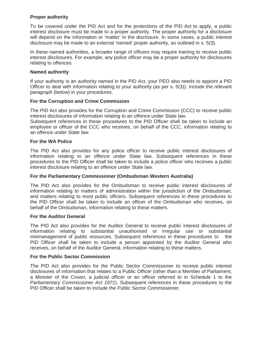#### **Proper authority**

To be covered under the PID Act and for the protections of the PID Act to apply, a public interest disclosure must be made to a proper authority. The proper authority for a disclosure will depend on the information or 'matter' in the disclosure. In some cases, a public interest disclosure may be made to an external 'named' proper authority, as outlined in s. 5(3).

In these named authorities, a broader range of officers may require training to receive public interest disclosures. For example, any police officer may be a proper authority for disclosures relating to offences.

#### **Named authority**

If your authority is an authority named in the PID Act, your PEO also needs to appoint a PID Officer to deal with information relating to your authority (as per s. 5(3)). Include the relevant paragraph (below) in your procedures.

#### **For the Corruption and Crime Commission**

The PID Act also provides for the Corruption and Crime Commission (CCC) to receive public interest disclosures of information relating to an offence under State law.

Subsequent references in these procedures to the PID Officer shall be taken to include an employee or officer of the CCC who receives, on behalf of the CCC, information relating to an offence under State law.

#### **For the WA Police**

The PID Act also provides for any police officer to receive public interest disclosures of information relating to an offence under State law. Subsequent references in these procedures to the PID Officer shall be taken to include a police officer who receives a public interest disclosure relating to an offence under State law.

#### **For the Parliamentary Commissioner (Ombudsman Western Australia)**

The PID Act also provides for the Ombudsman to receive public interest disclosures of information relating to matters of administration within the jurisdiction of the Ombudsman, and matters relating to most public officers. Subsequent references in these procedures to the PID Officer shall be taken to include an officer of the Ombudsman who receives, on behalf of the Ombudsman, information relating to these matters.

#### **For the Auditor General**

The PID Act also provides for the Auditor General to receive public interest disclosures of information relating to substantial unauthorised or irregular use or substantial mismanagement of public resources. Subsequent references in these procedures to the PID Officer shall be taken to include a person appointed by the Auditor General who receives, on behalf of the Auditor General, information relating to these matters.

#### **For the Public Sector Commission**

The PID Act also provides for the Public Sector Commissioner to receive public interest disclosures of information that relates to a Public Officer (other than a Member of Parliament, a Minister of the Crown, a judicial officer or an officer referred to in Schedule 1 to the *Parliamentary Commissioner Act 1971*). Subsequent references in these procedures to the PID Officer shall be taken to include the Public Sector Commissioner.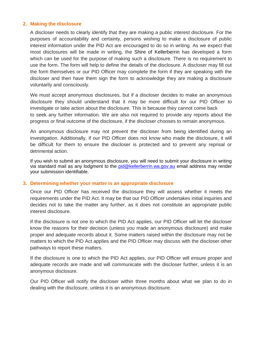#### **2. Making the disclosure**

A discloser needs to clearly identify that they are making a public interest disclosure. For the purposes of accountability and certainty, persons wishing to make a disclosure of public interest information under the PID Act are encouraged to do so in writing. As we expect that most disclosures will be made in writing, the Shire of Kellerberrin has developed a form which can be used for the purpose of making such a disclosure. There is no requirement to use the form. The form will help to define the details of the disclosure. A discloser may fill out the form themselves or our PID Officer may complete the form if they are speaking with the discloser and then have them sign the form to acknowledge they are making a disclosure voluntarily and consciously.

We must accept anonymous disclosures, but if a discloser decides to make an anonymous disclosure they should understand that it may be more difficult for our PID Officer to investigate or take action about the disclosure. This is because they cannot come back to seek any further information. We are also not required to provide any reports about the progress or final outcome of the disclosure, if the discloser chooses to remain anonymous.

An anonymous disclosure may not prevent the discloser from being identified during an investigation. Additionally, if our PID Officer does not know who made the disclosure, it will be difficult for them to ensure the discloser is protected and to prevent any reprisal or detrimental action.

If you wish to submit an anonymous disclosure, you will need to submit your disclosure in writing via standard mail as any lodgment to the [pid@kellerberrin.wa.gov.au](mailto:pid@kellerberrin.wa.gov.au) email address may render your submission identifiable.

#### **3. Determining whether your matter is an appropriate disclosure**

Once our PID Officer has received the disclosure they will assess whether it meets the requirements under the PID Act. It may be that our PID Officer undertakes initial inquiries and decides not to take the matter any further, as it does not constitute an appropriate public interest disclosure.

If the disclosure is not one to which the PID Act applies, our PID Officer will let the discloser know the reasons for their decision (unless you made an anonymous disclosure) and make proper and adequate records about it. Some matters raised within the disclosure may not be matters to which the PID Act applies and the PID Officer may discuss with the discloser other pathways to report these matters.

If the disclosure is one to which the PID Act applies, our PID Officer will ensure proper and adequate records are made and will communicate with the discloser further, unless it is an anonymous disclosure.

Our PID Officer will notify the discloser within three months about what we plan to do in dealing with the disclosure, unless it is an anonymous disclosure.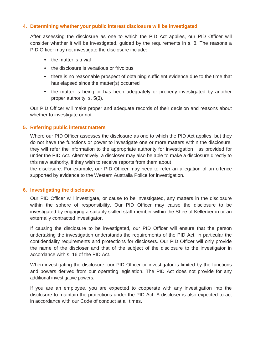#### **4. Determining whether your public interest disclosure will be investigated**

After assessing the disclosure as one to which the PID Act applies, our PID Officer will consider whether it will be investigated, guided by the requirements in s. 8. The reasons a PID Officer may not investigate the disclosure include:

- the matter is trivial
- the disclosure is vexatious or frivolous
- there is no reasonable prospect of obtaining sufficient evidence due to the time that has elapsed since the matter(s) occurred
- the matter is being or has been adequately or properly investigated by another proper authority, s. 5(3).

Our PID Officer will make proper and adequate records of their decision and reasons about whether to investigate or not.

#### **5. Referring public interest matters**

Where our PID Officer assesses the disclosure as one to which the PID Act applies, but they do not have the functions or power to investigate one or more matters within the disclosure, they will refer the information to the appropriate authority for investigation as provided for under the PID Act. Alternatively, a discloser may also be able to make a disclosure directly to this new authority, if they wish to receive reports from them about

the disclosure. For example, our PID Officer may need to refer an allegation of an offence supported by evidence to the Western Australia Police for investigation.

#### **6. Investigating the disclosure**

Our PID Officer will investigate, or cause to be investigated, any matters in the disclosure within the sphere of responsibility. Our PID Officer may cause the disclosure to be investigated by engaging a suitably skilled staff member within the Shire of Kellerberrin or an externally contracted investigator.

If causing the disclosure to be investigated, our PID Officer will ensure that the person undertaking the investigation understands the requirements of the PID Act, in particular the confidentiality requirements and protections for disclosers. Our PID Officer will only provide the name of the discloser and that of the subject of the disclosure to the investigator in accordance with s. 16 of the PID Act.

When investigating the disclosure, our PID Officer or investigator is limited by the functions and powers derived from our operating legislation. The PID Act does not provide for any additional investigative powers.

If you are an employee, you are expected to cooperate with any investigation into the disclosure to maintain the protections under the PID Act. A discloser is also expected to act in accordance with our Code of conduct at all times.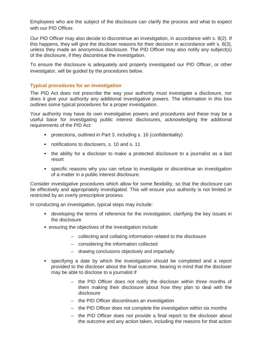Employees who are the subject of the disclosure can clarify the process and what to expect with our PID Officer.

Our PID Officer may also decide to discontinue an investigation, in accordance with s. 8(2). If this happens, they will give the discloser reasons for their decision in accordance with s. 8(3), unless they made an anonymous disclosure. The PID Officer may also notify any subject(s) of the disclosure, if they discontinue the investigation.

To ensure the disclosure is adequately and properly investigated our PID Officer, or other investigator, will be guided by the procedures below.

#### **Typical procedures for an investigation**

The PID Act does not prescribe the way your authority must investigate a disclosure, nor does it give your authority any additional investigative powers. The information in this box outlines some typical procedures for a proper investigation.

Your authority may have its own investigative powers and procedures and these may be a useful base for investigating public interest disclosures, acknowledging the additional requirements of the PID Act:

- protections, outlined in Part 3, including s. 16 (confidentiality)
- notifications to disclosers, s. 10 and s. 11
- the ability for a discloser to make a protected disclosure to a journalist as a last resort
- specific reasons why you can refuse to investigate or discontinue an investigation of a matter in a public interest disclosure.

Consider investigative procedures which allow for some flexibility, so that the disclosure can be effectively and appropriately investigated. This will ensure your authority is not limited or restricted by an overly prescriptive process.

In conducting an investigation, typical steps may include:

- developing the terms of reference for the investigation, clarifying the key issues in the disclosure
- ensuring the objectives of the investigation include
	- collecting and collating information related to the disclosure
	- considering the information collected
	- drawing conclusions objectively and impartially
- specifying a date by which the investigation should be completed and a report provided to the discloser about the final outcome, bearing in mind that the discloser may be able to disclose to a journalist if
	- the PID Officer does not notify the discloser within three months of them making their disclosure about how they plan to deal with the disclosure
	- the PID Officer discontinues an investigation
	- the PID Officer does not complete the investigation within six months
	- the PID Officer does not provide a final report to the discloser about the outcome and any action taken, including the reasons for that action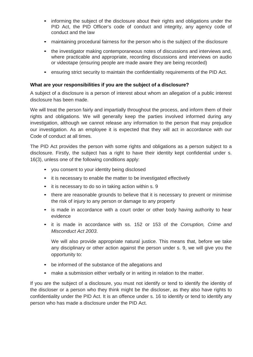- informing the subject of the disclosure about their rights and obligations under the PID Act, the PID Officer's code of conduct and integrity, any agency code of conduct and the law
- maintaining procedural fairness for the person who is the subject of the disclosure
- the investigator making contemporaneous notes of discussions and interviews and, where practicable and appropriate, recording discussions and interviews on audio or videotape (ensuring people are made aware they are being recorded)
- ensuring strict security to maintain the confidentiality requirements of the PID Act.

#### **What are your responsibilities if you are the subject of a disclosure?**

A subject of a disclosure is a person of interest about whom an allegation of a public interest disclosure has been made.

We will treat the person fairly and impartially throughout the process, and inform them of their rights and obligations. We will generally keep the parties involved informed during any investigation, although we cannot release any information to the person that may prejudice our investigation. As an employee it is expected that they will act in accordance with our Code of conduct at all times.

The PID Act provides the person with some rights and obligations as a person subject to a disclosure. Firstly, the subject has a right to have their identity kept confidential under s. 16(3), unless one of the following conditions apply:

- you consent to your identity being disclosed
- it is necessary to enable the matter to be investigated effectively
- it is necessary to do so in taking action within s. 9
- there are reasonable grounds to believe that it is necessary to prevent or minimise the risk of injury to any person or damage to any property
- is made in accordance with a court order or other body having authority to hear evidence
- it is made in accordance with ss. 152 or 153 of the *Corruption, Crime and Misconduct Act 2003*.

We will also provide appropriate natural justice. This means that, before we take any disciplinary or other action against the person under s. 9, we will give you the opportunity to:

- be informed of the substance of the allegations and
- make a submission either verbally or in writing in relation to the matter.

If you are the subject of a disclosure, you must not identify or tend to identify the identity of the discloser or a person who they think might be the discloser, as they also have rights to confidentiality under the PID Act. It is an offence under s. 16 to identify or tend to identify any person who has made a disclosure under the PID Act.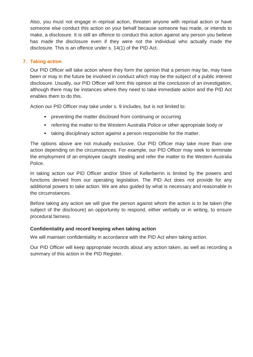Also, you must not engage in reprisal action, threaten anyone with reprisal action or have someone else conduct this action on your behalf because someone has made, or intends to make, a disclosure. It is still an offence to conduct this action against any person you believe has made the disclosure even if they were not the individual who actually made the disclosure. This is an offence under s. 14(1) of the PID Act.

#### **7. Taking action**

Our PID Officer will take action where they form the opinion that a person may be, may have been or may in the future be involved in conduct which may be the subject of a public interest disclosure. Usually, our PID Officer will form this opinion at the conclusion of an investigation, although there may be instances where they need to take immediate action and the PID Act enables them to do this.

Action our PID Officer may take under s. 9 includes, but is not limited to:

- preventing the matter disclosed from continuing or occurring
- referring the matter to the Western Australia Police or other appropriate body or
- taking disciplinary action against a person responsible for the matter.

The options above are not mutually exclusive. Our PID Officer may take more than one action depending on the circumstances. For example, our PID Officer may seek to terminate the employment of an employee caught stealing and refer the matter to the Western Australia Police.

In taking action our PID Officer and/or Shire of Kellerberrin is limited by the powers and functions derived from our operating legislation. The PID Act does not provide for any additional powers to take action. We are also guided by what is necessary and reasonable in the circumstances.

Before taking any action we will give the person against whom the action is to be taken (the subject of the disclosure) an opportunity to respond, either verbally or in writing, to ensure procedural fairness.

#### **Confidentiality and record keeping when taking action**

We will maintain confidentiality in accordance with the PID Act when taking action.

Our PID Officer will keep appropriate records about any action taken, as well as recording a summary of this action in the PID Register.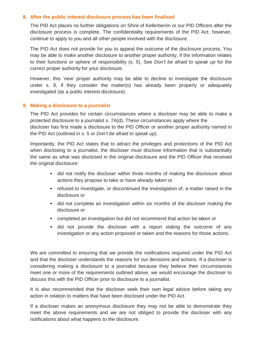#### **8. After the public interest disclosure process has been finalised**

The PID Act places no further obligations on Shire of Kellerberrin or our PID Officers after the disclosure process is complete. The confidentiality requirements of the PID Act, however, continue to apply to you and all other people involved with the disclosure.

The PID Act does not provide for you to appeal the outcome of the disclosure process. You may be able to make another disclosure to another proper authority, if the information relates to their functions or sphere of responsibility (s. 5). See *Don't be afraid to speak up* for the correct proper authority for your disclosure.

However, this 'new' proper authority may be able to decline to investigate the disclosure under s. 8, if they consider the matter(s) has already been properly or adequately investigated (as a public interest disclosure).

#### **9. Making a disclosure to a journalist**

The PID Act provides for certain circumstances where a discloser may be able to make a protected disclosure to a journalist s. 7A(d). These circumstances apply where the discloser has first made a disclosure to the PID Officer or another proper authority named in the PID Act (outlined in s. 5 or *Don't be afraid to speak up*).

Importantly, the PID Act states that to attract the privileges and protections of the PID Act when disclosing to a journalist, the discloser must disclose information that is substantially the same as what was disclosed in the original disclosure and the PID Officer that received the original disclosure:

- did not notify the discloser within three months of making the disclosure about actions they propose to take or have already taken or
- refused to investigate, or discontinued the investigation of, a matter raised in the disclosure or
- did not complete an investigation within six months of the discloser making the disclosure or
- completed an investigation but did not recommend that action be taken or
- did not provide the discloser with a report stating the outcome of any investigation or any action proposed or taken and the reasons for those actions.

We are committed to ensuring that we provide the notifications required under the PID Act and that the discloser understands the reasons for our decisions and actions. If a discloser is considering making a disclosure to a journalist because they believe their circumstances meet one or more of the requirements outlined above, we would encourage the discloser to discuss this with the PID Officer prior to disclosure to a journalist.

It is also recommended that the discloser seek their own legal advice before taking any action in relation to matters that have been disclosed under the PID Act.

If a discloser makes an anonymous disclosure they may not be able to demonstrate they meet the above requirements and we are not obliged to provide the discloser with any notifications about what happens to the disclosure.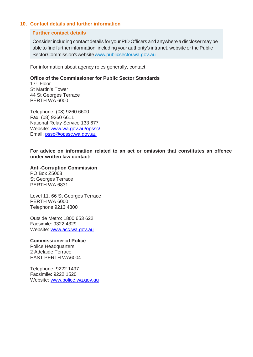#### **10. Contact details and further information**

#### **Further contact details**

Consider including contact details for your PID Officers and anywhere a discloser may be able to find further information, including your authority's intranet, website or the Public SectorCommission'swebsit[ewww.publicsector.wa.gov.au](http://www.publicsector.wa.gov.au/)

For information about agency roles generally, contact;

#### **Office of the Commissioner for Public Sector Standards**

17th Floor St Martin's Tower 44 St Georges Terrace PERTH WA 6000

Telephone: (08) 9260 6600 Fax: (08) 9260 6611 National Relay Service 133 677 Website: [www.wa.gov.au/opssc/](http://www.wa.gov.au/opssc/) Email: [pssc@opssc.wa.gov.au](mailto:pssc@opssc.wa.gov.au)

**For advice on information related to an act or omission that constitutes an offence under written law contact:**

**Anti-Corruption Commission** PO Box Z5068

St Georges Terrace PERTH WA 6831

Level 11, 66 St Georges Terrace PERTH WA 6000 Telephone 9213 4300

Outside Metro: 1800 653 622 Facsimile: 9322 4329 Website: [www.acc.wa.gov.au](http://www.acc.wa.gov.au/)

**Commissioner of Police**

Police Headquarters 2 Adelaide Terrace EAST PERTH WA6004

Telephone: 9222 1497 Facsimile: 9222 1520 Website: [www.police.wa.gov.au](http://www.police.wa.gov.au/)